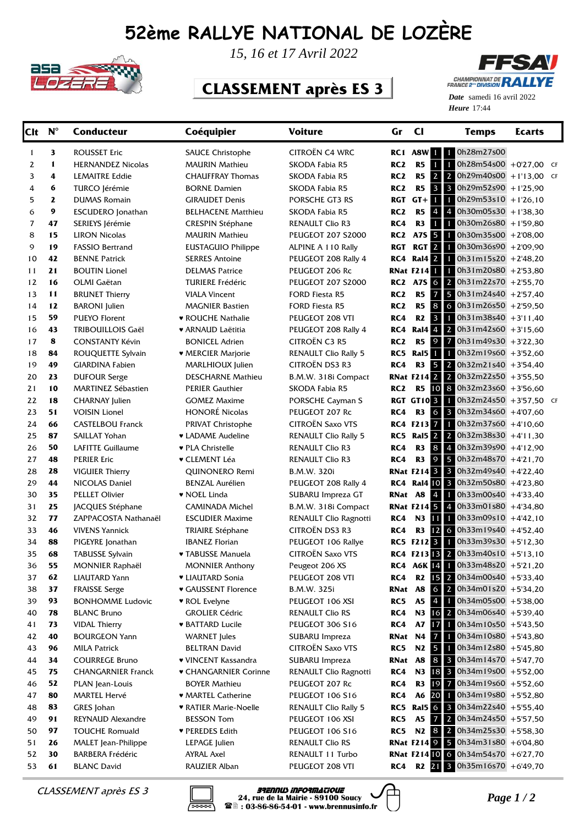## **52ème RALLYE NATIONAL DE LOZÈRE**



*15, 16 et 17 Avril 2022*

## **CLASSEMENT après ES 3**



Heure 17:44 *Date* samedi 16 avril 2022

| <b>Clt</b> | $N^{\circ}$ | <b>Conducteur</b>          | Coéquipier                   | <b>Voiture</b>              | Gr              | $_{\rm cl}$              | <b>Temps</b>                                                      | <b>Ecarts</b> |  |
|------------|-------------|----------------------------|------------------------------|-----------------------------|-----------------|--------------------------|-------------------------------------------------------------------|---------------|--|
| 1          | 3           | <b>ROUSSET Eric</b>        | <b>SAUCE Christophe</b>      | CITROËN C4 WRC              |                 |                          | RC1 A8W 1 0h28m27s00                                              |               |  |
| 2          | 1           | <b>HERNANDEZ Nicolas</b>   | <b>MAURIN Mathieu</b>        | SKODA Fabia R5              | RC <sub>2</sub> | R <sub>5</sub>           | 1<br>$\mathbf{1}$<br>0h28m54s00 +0'27,00 CF                       |               |  |
| 3          | 4           | <b>LEMAITRE Eddie</b>      | <b>CHAUFFRAY Thomas</b>      | SKODA Fabia R5              | RC <sub>2</sub> | R <sub>5</sub>           | $\overline{2}$<br>$\overline{2}$<br>$0h29m40s00 + 1'13,00$ CF     |               |  |
| 4          | 6           | TURCO Jérémie              | <b>BORNE Damien</b>          | SKODA Fabia R5              | RC <sub>2</sub> | R5                       | $\mathbf{3}$<br>$\overline{\mathbf{3}}$<br>$0h29m52s90 + 1'25.90$ |               |  |
| 5          | 2           | <b>DUMAS Romain</b>        | <b>GIRAUDET Denis</b>        | PORSCHE GT3 RS              | RGT             | $GT +$                   | $\mathbf{1}$<br>$0h29m53s10 + 1'26,10$<br>$\mathbf{1}$            |               |  |
| 6          | 9           | <b>ESCUDERO</b> Jonathan   | <b>BELHACENE Matthieu</b>    | SKODA Fabia R5              | RC <sub>2</sub> | R5                       | 4<br>$0h30m05s30 + 1'38,30$<br>$\overline{4}$                     |               |  |
| 7          | 47          | SERIEYS Jérémie            | <b>CRESPIN Stéphane</b>      | <b>RENAULT Clio R3</b>      | RC4             | R <sub>3</sub>           | $\mathbf{1}$<br>$0h30m26s80 + 1'59,80$<br>$1 -$                   |               |  |
| 8          | 15          | <b>LIRON Nicolas</b>       | <b>MAURIN Mathieu</b>        | <b>PEUGEOT 207 S2000</b>    | RC2             | A7S 5                    | $0h30m35s00 + 2'08,00$<br>$\mathbf{1}$                            |               |  |
| 9          | 19          | <b>FASSIO Bertrand</b>     | <b>EUSTAGUIO Philippe</b>    | ALPINE A 110 Rally          | RGT             | RGT <sub>2</sub>         | $0h30m36s90 + 2'09,90$<br>$\mathbf{1}$                            |               |  |
| 10         | 42          | <b>BENNE Patrick</b>       | <b>SERRES Antoine</b>        | PEUGEOT 208 Rally 4         | RC4             | Ral4 <sup>2</sup>        | $0h31m15s20 + 2'48,20$<br>1                                       |               |  |
| 11         | 21          | <b>BOUTIN Lionel</b>       | <b>DELMAS Patrice</b>        | PEUGEOT 206 Rc              |                 | <b>RNat F2141</b>        | $0h31m20s80 + 2'53,80$<br>$\mathbf{1}$                            |               |  |
| 12         | 16          | OLMI Gaëtan                | <b>TURIERE Frédéric</b>      | <b>PEUGEOT 207 S2000</b>    |                 | <b>RC2 A7S 6</b>         | 2 <sup>1</sup><br>$0h31m22s70$ +2'55,70                           |               |  |
| 13         | 11          | <b>BRUNET Thierry</b>      | <b>VIALA Vincent</b>         | <b>FORD Fiesta R5</b>       | RC <sub>2</sub> | R5                       | $\overline{7}$<br>5<br>$0h31m24s40 + 2'57,40$                     |               |  |
| 14         | 12          | <b>BARONI</b> Julien       | <b>MAGNIER Bastien</b>       | <b>FORD Fiesta R5</b>       | RC <sub>2</sub> | R5                       | 8<br>$0h31m26s50 + 2'59,50$<br>6                                  |               |  |
| 15         | 59          | <b>PUEYO Florent</b>       | ♥ ROUCHE Nathalie            | PEUGEOT 208 VTI             | RC4             | R2                       | $\mathbf{3}$<br>$0h31m38s40 + 3'11,40$<br>$\mathbf{1}$            |               |  |
| 16         | 43          | <b>TRIBOUILLOIS Gaël</b>   | ♥ ARNAUD Laëtitia            | PEUGEOT 208 Rally 4         | RC4             | Ral4 4                   | $0h31m42s60 + 3'15,60$<br>2 <sup>1</sup>                          |               |  |
| 17         | 8           | <b>CONSTANTY Kévin</b>     | <b>BONICEL Adrien</b>        | <b>CITROËN C3 R5</b>        | RC <sub>2</sub> | R5                       | 9<br>$0h31m49s30 + 3'22,30$<br>$\overline{7}$                     |               |  |
| 18         | 84          | ROUQUETTE Sylvain          | • MERCIER Marjorie           | <b>RENAULT Clio Rally 5</b> | RC5             | Ral <sub>5</sub>         | $\blacksquare$<br>$0h32m19s60 + 3'52,60$<br>$\blacksquare$        |               |  |
| 19         | 49          | <b>GIARDINA Fabien</b>     | MARLHIOUX Julien             | CITROËN DS3 R3              | RC4             | R3                       | $\ddot{\bullet}$<br>$0h32m21s40 + 3'54,40$<br>$\overline{2}$      |               |  |
| 20         | 23          | <b>DUFOUR Serge</b>        | <b>DESCHARNE Mathieu</b>     | B.M.W. 318i Compact         |                 | <b>RNat F214 2 2</b>     | $0h32m22s50 + 3'55,50$                                            |               |  |
| 21         | 10          | <b>MARTINEZ Sébastien</b>  | <b>PERIER Gauthier</b>       | SKODA Fabia R5              | RC <sub>2</sub> | <b>R5</b>                | 10 8<br>$0h32m23s60$ + 3'56,60                                    |               |  |
| 22         | 18          | <b>CHARNAY Julien</b>      | <b>GOMEZ Maxime</b>          | PORSCHE Cayman S            |                 | <b>RGT GT103</b>         | 0h32m24s50 +3'57,50 CF<br>$\mathbf{1}$                            |               |  |
| 23         | 51          | <b>VOISIN Lionel</b>       | <b>HONORÉ Nicolas</b>        | PEUGEOT 207 Rc              | RC4             | R3                       | $6 \mid 3$<br>0h32m34s60 +4'07,60                                 |               |  |
| 24         | 66          | <b>CASTELBOU Franck</b>    | PRIVAT Christophe            | <b>CITROËN Saxo VTS</b>     |                 | RC4 F213 7 1             | $0h32m37s60 + 4'10,60$                                            |               |  |
| 25         | 87          | SAILLAT Yohan              | • LADAME Audeline            | <b>RENAULT Clio Rally 5</b> |                 | <b>RC5</b> Ral5 2 2      | $0h32m38s30 + 4'11,30$                                            |               |  |
| 26         | 50          | LAFITTE Guillaume          | ♥ PLA Christelle             | <b>RENAULT Clio R3</b>      | RC4             | R3                       | 8 4<br>$0h32m39s90 + 4'12,90$                                     |               |  |
| 27         | 48          | <b>PERIER Eric</b>         | ♥ CLEMENT Léa                | <b>RENAULT Clio R3</b>      | RC4             | R <sub>3</sub>           | $\overline{9}$<br>5<br>$0h32m48s70 +421,70$                       |               |  |
| 28         | 28          | <b>VIGUIER Thierry</b>     | QUINONERO Remi               | B.M.W. 320i                 |                 | <b>RNat F214 3 3</b>     | 0h32m49s40 +4'22,40                                               |               |  |
| 29         | 44          | NICOLAS Daniel             | <b>BENZAL Aurélien</b>       | PEUGEOT 208 Rally 4         |                 | <b>RC4 Ral4 10 3</b>     | 0h32m50s80 +4'23,80                                               |               |  |
| 30         | 35          | <b>PELLET Olivier</b>      | • NOEL Linda                 | SUBARU Impreza GT           |                 | <b>RNat A8 4</b>         | 0h33m00s40 +4'33,40<br>$\mathbf{1}$                               |               |  |
| 31         | 25          | JACQUES Stéphane           | CAMINADA Michel              | B.M.W. 318i Compact         |                 | <b>RNat F214 5 4</b>     | 0h33m01s80 +4'34,80                                               |               |  |
| 32         | 77          | ZAPPACOSTA Nathanaël       | <b>ESCUDIER Maxime</b>       | RENAULT Clio Ragnotti       | RC4             | N3 11                    | $0h33m09s10 + 442,10$<br>$\mathbf{1}$                             |               |  |
| 33         | 46          | <b>VIVENS Yannick</b>      | TRIAIRE Stéphane             | <b>CITROËN DS3 R3</b>       | RC4             | R3                       | 12 6<br>0h33m19s40 +4'52,40                                       |               |  |
| 34         | 88          | PIGEYRE Jonathan           | <b>IBANEZ Florian</b>        | PEUGEOT 106 Rallye          |                 | RC5 F212 <sup>3</sup>    | $0h33m39s30 + 5'12,30$<br>$\blacksquare$                          |               |  |
| 35         | 68          | <b>TABUSSE Sylvain</b>     | ▼ TABUSSE Manuela            | CITROËN Saxo VTS            |                 | RC4 F213 <sup>13</sup> 2 | $0h33m40s10 + 5'13,10$                                            |               |  |
| 36         | 55          | <b>MONNIER Raphaël</b>     | <b>MONNIER Anthony</b>       | Peugeot 206 XS              |                 | <b>RC4 A6K 14 1</b>      | $0h33m48s20 + 5'21,20$                                            |               |  |
| 37         | 62          | LIAUTARD Yann              | • LIAUTARD Sonia             | PEUGEOT 208 VTI             | RC4             | R2                       | 15 2 0h34m00s40 +5'33,40                                          |               |  |
| 38         | 37          | <b>FRAISSE Serge</b>       | ♥ GAUSSENT Florence          | B.M.W. 325i                 | RNat A8         |                          | 6 <sup>2</sup><br>0h34m01s20 +5'34,20                             |               |  |
| 39         | 93          | <b>BONHOMME Ludovic</b>    | ♥ ROL Evelyne                | PEUGEOT 106 XSI             | RC5             | A <sub>5</sub>           | $\overline{4}$<br>0h34m05s00 +5'38,00<br>$\mathbf{1}$             |               |  |
| 40         | 78          | <b>BLANC Bruno</b>         | <b>GROLIER Cédric</b>        | <b>RENAULT Clio RS</b>      | RC4             |                          | N3 16 2<br>0h34m06s40 +5'39,40                                    |               |  |
| 41         | 73          | <b>VIDAL Thierry</b>       | <b>* BATTARD Lucile</b>      | PEUGEOT 306 S16             | RC4             | <b>A7</b>                | 17 <sup>1</sup><br>0h34m10s50 +5'43,50                            |               |  |
| 42         | 40          | <b>BOURGEON Yann</b>       | <b>WARNET</b> Jules          | SUBARU Impreza              | RNat            | N4                       | $\overline{7}$<br>$0h34m10s80 + 5'43,80$<br>$\mathbf{1}$          |               |  |
| 43         | 96          | <b>MILA Patrick</b>        | <b>BELTRAN David</b>         | CITROËN Saxo VTS            | RC5             |                          | N2 5 1<br>$0h34m12s80 + 5'45,80$                                  |               |  |
| 44         | 34          | <b>COURREGE Bruno</b>      | ♥ VINCENT Kassandra          | SUBARU Impreza              | RNat            | <b>A8</b>                | $8 \mid 3$<br>$0h34m14s70 + 5'47,70$                              |               |  |
| 45         | 75          | <b>CHANGARNIER Franck</b>  | ♥ CHANGARNIER Corinne        | RENAULT Clio Ragnotti       | RC4             |                          | N3 18 3<br>$0h34m19s00 + 5'52,00$                                 |               |  |
| 46         | 52          | PLAN Jean-Louis            | <b>BOYER Mathieu</b>         | PEUGEOT 207 Rc              | RC4             | R3                       | 19 7<br>$0h34m19s60 + 5'52,60$                                    |               |  |
| 47         | 80          | MARTEL Hervé               | • MARTEL Catherine           | PEUGEOT 106 S16             | RC4             | A6 20                    | 0h34m19s80 +5'52,80<br>$\mathbf{1}$                               |               |  |
| 48         | 83          | GRES Johan                 | <b>• RATIER Marie-Noelle</b> | <b>RENAULT Clio Rally 5</b> |                 | <b>RC5</b> Ral5 6 3      | 0h34m22s40 +5'55,40                                               |               |  |
| 49         | 91          | REYNAUD Alexandre          | <b>BESSON Tom</b>            | PEUGEOT 106 XSI             | RC5             | A5                       | $7 \mid 2$<br>0h34m24s50 +5'57,50                                 |               |  |
| 50         | 97          | <b>TOUCHE Romuald</b>      | ♥ PEREDES Edith              | PEUGEOT 106 S16             | RC5             |                          | N <sub>2</sub> 8 2<br>$0h34m25s30 + 5'58,30$                      |               |  |
| 51         | 26          | <b>MALET</b> Jean-Philippe | LEPAGE Julien                | <b>RENAULT Clio RS</b>      |                 | <b>RNat F214 9 5</b>     | 0h34m31s80 +6'04,80                                               |               |  |
| 52         | 30          | <b>BARBERA Frédéric</b>    | <b>AYRAL Axel</b>            | RENAULT 11 Turbo            |                 | <b>RNat F21410 6</b>     | 0h34m54s70 +6'27,70                                               |               |  |
| 53         | 61          | <b>BLANC David</b>         | RAUZIER Alban                | PEUGEOT 208 VTI             | RC4             |                          | R <sub>2</sub> 21 3<br>0h35m16s70 +6'49,70                        |               |  |